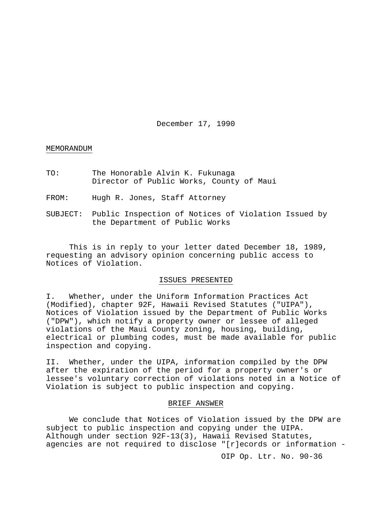December 17, 1990

#### MEMORANDUM

TO: The Honorable Alvin K. Fukunaga Director of Public Works, County of Maui

FROM: Hugh R. Jones, Staff Attorney

SUBJECT: Public Inspection of Notices of Violation Issued by the Department of Public Works

This is in reply to your letter dated December 18, 1989, requesting an advisory opinion concerning public access to Notices of Violation.

## ISSUES PRESENTED

I. Whether, under the Uniform Information Practices Act (Modified), chapter 92F, Hawaii Revised Statutes ("UIPA"), Notices of Violation issued by the Department of Public Works ("DPW"), which notify a property owner or lessee of alleged violations of the Maui County zoning, housing, building, electrical or plumbing codes, must be made available for public inspection and copying.

II. Whether, under the UIPA, information compiled by the DPW after the expiration of the period for a property owner's or lessee's voluntary correction of violations noted in a Notice of Violation is subject to public inspection and copying.

#### BRIEF ANSWER

We conclude that Notices of Violation issued by the DPW are subject to public inspection and copying under the UIPA. Although under section 92F-13(3), Hawaii Revised Statutes, agencies are not required to disclose "[r]ecords or information -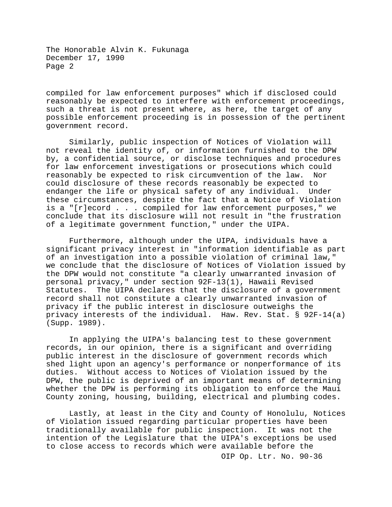compiled for law enforcement purposes" which if disclosed could reasonably be expected to interfere with enforcement proceedings, such a threat is not present where, as here, the target of any possible enforcement proceeding is in possession of the pertinent government record.

Similarly, public inspection of Notices of Violation will not reveal the identity of, or information furnished to the DPW by, a confidential source, or disclose techniques and procedures for law enforcement investigations or prosecutions which could<br>reasonably be expected to risk circumvention of the law. Nor reasonably be expected to risk circumvention of the law. could disclosure of these records reasonably be expected to endanger the life or physical safety of any individual. Under these circumstances, despite the fact that a Notice of Violation is a "[r]ecord . . . compiled for law enforcement purposes," we conclude that its disclosure will not result in "the frustration of a legitimate government function," under the UIPA.

Furthermore, although under the UIPA, individuals have a significant privacy interest in "information identifiable as part of an investigation into a possible violation of criminal law," we conclude that the disclosure of Notices of Violation issued by the DPW would not constitute "a clearly unwarranted invasion of personal privacy," under section 92F-13(1), Hawaii Revised Statutes. The UIPA declares that the disclosure of a government record shall not constitute a clearly unwarranted invasion of privacy if the public interest in disclosure outweighs the privacy interests of the individual. Haw. Rev. Stat. § 92F-14(a) (Supp. 1989).

In applying the UIPA's balancing test to these government records, in our opinion, there is a significant and overriding public interest in the disclosure of government records which shed light upon an agency's performance or nonperformance of its duties. Without access to Notices of Violation issued by the DPW, the public is deprived of an important means of determining whether the DPW is performing its obligation to enforce the Maui County zoning, housing, building, electrical and plumbing codes.

Lastly, at least in the City and County of Honolulu, Notices of Violation issued regarding particular properties have been traditionally available for public inspection. It was not the intention of the Legislature that the UIPA's exceptions be used to close access to records which were available before the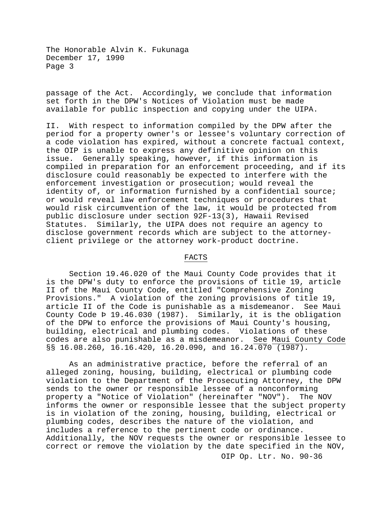passage of the Act. Accordingly, we conclude that information set forth in the DPW's Notices of Violation must be made available for public inspection and copying under the UIPA.

II. With respect to information compiled by the DPW after the period for a property owner's or lessee's voluntary correction of a code violation has expired, without a concrete factual context, the OIP is unable to express any definitive opinion on this issue. Generally speaking, however, if this information is compiled in preparation for an enforcement proceeding, and if its disclosure could reasonably be expected to interfere with the enforcement investigation or prosecution; would reveal the identity of, or information furnished by a confidential source; or would reveal law enforcement techniques or procedures that would risk circumvention of the law, it would be protected from public disclosure under section 92F-13(3), Hawaii Revised Statutes. Similarly, the UIPA does not require an agency to disclose government records which are subject to the attorneyclient privilege or the attorney work-product doctrine.

## FACTS

Section 19.46.020 of the Maui County Code provides that it is the DPW's duty to enforce the provisions of title 19, article II of the Maui County Code, entitled "Comprehensive Zoning Provisions." A violation of the zoning provisions of title 19,<br>article II of the Code is punishable as a misdemeanor. See Maui article II of the Code is punishable as a misdemeanor. County Code Þ 19.46.030 (1987). Similarly, it is the obligation of the DPW to enforce the provisions of Maui County's housing, building, electrical and plumbing codes. Violations of these<br>codes are also punishable as a misdemeanor. See Maui County Code codes are also punishable as a misdemeanor. §§ 16.08.260, 16.16.420, 16.20.090, and 16.24.070 (1987).

As an administrative practice, before the referral of an alleged zoning, housing, building, electrical or plumbing code violation to the Department of the Prosecuting Attorney, the DPW sends to the owner or responsible lessee of a nonconforming property a "Notice of Violation" (hereinafter "NOV"). The NOV informs the owner or responsible lessee that the subject property is in violation of the zoning, housing, building, electrical or plumbing codes, describes the nature of the violation, and includes a reference to the pertinent code or ordinance. Additionally, the NOV requests the owner or responsible lessee to correct or remove the violation by the date specified in the NOV,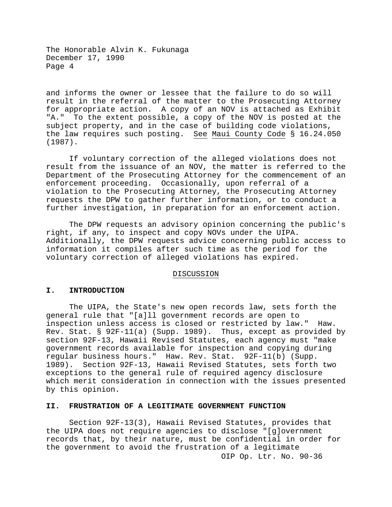and informs the owner or lessee that the failure to do so will result in the referral of the matter to the Prosecuting Attorney for appropriate action. A copy of an NOV is attached as Exhibit "A." To the extent possible, a copy of the NOV is posted at the subject property, and in the case of building code violations, the law requires such posting. See Maui County Code § 16.24.050 (1987).

If voluntary correction of the alleged violations does not result from the issuance of an NOV, the matter is referred to the Department of the Prosecuting Attorney for the commencement of an enforcement proceeding. Occasionally, upon referral of a violation to the Prosecuting Attorney, the Prosecuting Attorney requests the DPW to gather further information, or to conduct a further investigation, in preparation for an enforcement action.

The DPW requests an advisory opinion concerning the public's right, if any, to inspect and copy NOVs under the UIPA. Additionally, the DPW requests advice concerning public access to information it compiles after such time as the period for the voluntary correction of alleged violations has expired.

## DISCUSSION

## **I. INTRODUCTION**

The UIPA, the State's new open records law, sets forth the general rule that "[a]ll government records are open to inspection unless access is closed or restricted by law." Haw. Rev. Stat. § 92F-11(a) (Supp. 1989). Thus, except as provided by section 92F-13, Hawaii Revised Statutes, each agency must "make government records available for inspection and copying during regular business hours." Haw. Rev. Stat. 92F-11(b) (Supp. 1989). Section 92F-13, Hawaii Revised Statutes, sets forth two exceptions to the general rule of required agency disclosure which merit consideration in connection with the issues presented by this opinion.

## **II. FRUSTRATION OF A LEGITIMATE GOVERNMENT FUNCTION**

OIP Op. Ltr. No. 90-36 Section 92F-13(3), Hawaii Revised Statutes, provides that the UIPA does not require agencies to disclose "[g]overnment records that, by their nature, must be confidential in order for the government to avoid the frustration of a legitimate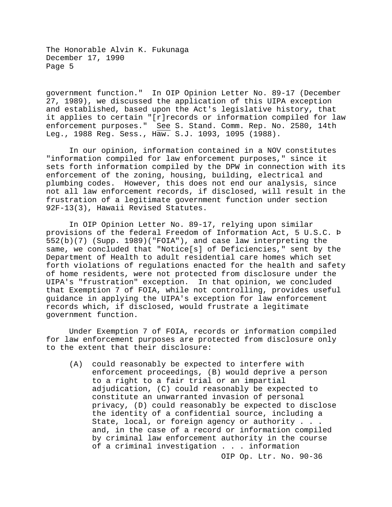government function." In OIP Opinion Letter No. 89-17 (December 27, 1989), we discussed the application of this UIPA exception and established, based upon the Act's legislative history, that it applies to certain "[r]records or information compiled for law enforcement purposes." See S. Stand. Comm. Rep. No. 2580, 14th Leg., 1988 Reg. Sess., Haw. S.J. 1093, 1095 (1988).

In our opinion, information contained in a NOV constitutes "information compiled for law enforcement purposes," since it sets forth information compiled by the DPW in connection with its enforcement of the zoning, housing, building, electrical and plumbing codes. However, this does not end our analysis, since not all law enforcement records, if disclosed, will result in the frustration of a legitimate government function under section 92F-13(3), Hawaii Revised Statutes.

In OIP Opinion Letter No. 89-17, relying upon similar provisions of the federal Freedom of Information Act, 5 U.S.C. Þ 552(b)(7) (Supp. 1989)("FOIA"), and case law interpreting the same, we concluded that "Notice[s] of Deficiencies," sent by the Department of Health to adult residential care homes which set forth violations of regulations enacted for the health and safety of home residents, were not protected from disclosure under the UIPA's "frustration" exception. In that opinion, we concluded that Exemption 7 of FOIA, while not controlling, provides useful guidance in applying the UIPA's exception for law enforcement records which, if disclosed, would frustrate a legitimate government function.

Under Exemption 7 of FOIA, records or information compiled for law enforcement purposes are protected from disclosure only to the extent that their disclosure:

(A) could reasonably be expected to interfere with enforcement proceedings, (B) would deprive a person to a right to a fair trial or an impartial adjudication, (C) could reasonably be expected to constitute an unwarranted invasion of personal privacy, (D) could reasonably be expected to disclose the identity of a confidential source, including a State, local, or foreign agency or authority . . . and, in the case of a record or information compiled by criminal law enforcement authority in the course of a criminal investigation . . . information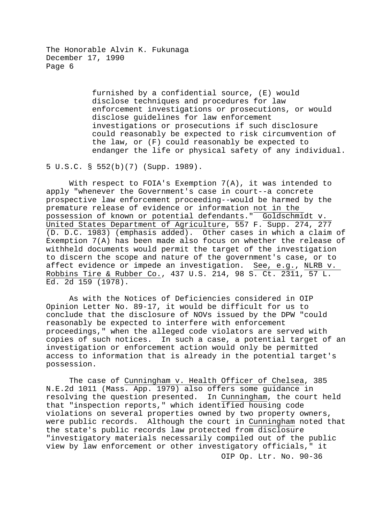> furnished by a confidential source, (E) would disclose techniques and procedures for law enforcement investigations or prosecutions, or would disclose guidelines for law enforcement investigations or prosecutions if such disclosure could reasonably be expected to risk circumvention of the law, or (F) could reasonably be expected to endanger the life or physical safety of any individual.

5 U.S.C. § 552(b)(7) (Supp. 1989).

With respect to FOIA's Exemption  $7(A)$ , it was intended to apply "whenever the Government's case in court--a concrete prospective law enforcement proceeding--would be harmed by the premature release of evidence or information not in the possession of known or potential defendants." Goldschmidt v. United States Department of Agriculture, 557 F. Supp. 274, 277 (D. D.C. 1983) (emphasis added). Other cases in which a claim of Exemption 7(A) has been made also focus on whether the release of withheld documents would permit the target of the investigation to discern the scope and nature of the government's case, or to affect evidence or impede an investigation. See, e.g., NLRB v. Robbins Tire & Rubber Co., 437 U.S. 214, 98 S. Ct. 2311, 57 L. Ed. 2d 159 (1978).

As with the Notices of Deficiencies considered in OIP Opinion Letter No. 89-17, it would be difficult for us to conclude that the disclosure of NOVs issued by the DPW "could reasonably be expected to interfere with enforcement proceedings," when the alleged code violators are served with copies of such notices. In such a case, a potential target of an investigation or enforcement action would only be permitted access to information that is already in the potential target's possession.

OIP Op. Ltr. No. 90-36 The case of Cunningham v. Health Officer of Chelsea, 385 N.E.2d 1011 (Mass. App. 1979) also offers some guidance in resolving the question presented. In Cunningham, the court held that "inspection reports," which identified housing code violations on several properties owned by two property owners, were public records. Although the court in Cunningham noted that the state's public records law protected from disclosure "investigatory materials necessarily compiled out of the public view by law enforcement or other investigatory officials," it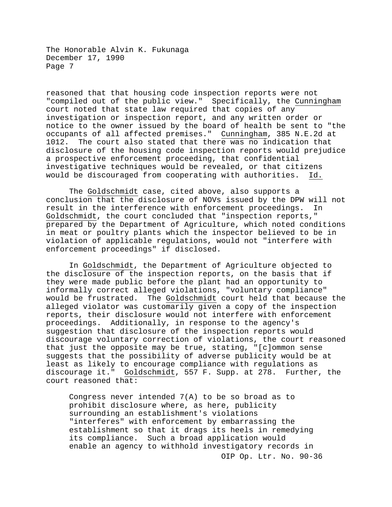reasoned that that housing code inspection reports were not "compiled out of the public view." Specifically, the Cunningham court noted that state law required that copies of any investigation or inspection report, and any written order or notice to the owner issued by the board of health be sent to "the occupants of all affected premises." Cunningham, 385 N.E.2d at<br>1012. The court also stated that there was no indication that The court also stated that there was no indication that disclosure of the housing code inspection reports would prejudice a prospective enforcement proceeding, that confidential investigative techniques would be revealed, or that citizens<br>would be discouraged from cooperating with authorities. Id. would be discouraged from cooperating with authorities.

The Goldschmidt case, cited above, also supports a conclusion that the disclosure of NOVs issued by the DPW will not<br>result in the interference with enforcement proceedings. In result in the interference with enforcement proceedings. Goldschmidt, the court concluded that "inspection reports," prepared by the Department of Agriculture, which noted conditions in meat or poultry plants which the inspector believed to be in violation of applicable regulations, would not "interfere with enforcement proceedings" if disclosed.

In Goldschmidt, the Department of Agriculture objected to the disclosure of the inspection reports, on the basis that if they were made public before the plant had an opportunity to informally correct alleged violations, "voluntary compliance" would be frustrated. The Goldschmidt court held that because the alleged violator was customarily given a copy of the inspection reports, their disclosure would not interfere with enforcement proceedings. Additionally, in response to the agency's suggestion that disclosure of the inspection reports would discourage voluntary correction of violations, the court reasoned that just the opposite may be true, stating, "[c]ommon sense suggests that the possibility of adverse publicity would be at least as likely to encourage compliance with regulations as discourage it." Goldschmidt, 557 F. Supp. at 278. Further, the court reasoned that:

OIP Op. Ltr. No. 90-36 Congress never intended 7(A) to be so broad as to prohibit disclosure where, as here, publicity surrounding an establishment's violations "interferes" with enforcement by embarrassing the establishment so that it drags its heels in remedying its compliance. Such a broad application would enable an agency to withhold investigatory records in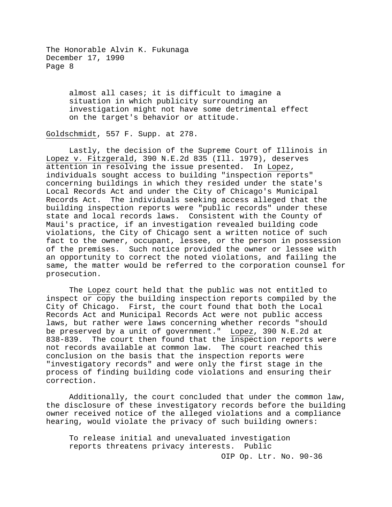> almost all cases; it is difficult to imagine a situation in which publicity surrounding an investigation might not have some detrimental effect on the target's behavior or attitude.

Goldschmidt, 557 F. Supp. at 278.

Lastly, the decision of the Supreme Court of Illinois in Lopez v. Fitzgerald, 390 N.E.2d 835 (Ill. 1979), deserves attention in resolving the issue presented. In Lopez, individuals sought access to building "inspection reports" concerning buildings in which they resided under the state's Local Records Act and under the City of Chicago's Municipal Records Act. The individuals seeking access alleged that the building inspection reports were "public records" under these state and local records laws. Consistent with the County of Maui's practice, if an investigation revealed building code violations, the City of Chicago sent a written notice of such fact to the owner, occupant, lessee, or the person in possession of the premises. Such notice provided the owner or lessee with an opportunity to correct the noted violations, and failing the same, the matter would be referred to the corporation counsel for prosecution.

The Lopez court held that the public was not entitled to inspect or copy the building inspection reports compiled by the City of Chicago. First, the court found that both the Local Records Act and Municipal Records Act were not public access laws, but rather were laws concerning whether records "should be preserved by a unit of government." Lopez, 390 N.E.2d at 838-839. The court then found that the inspection reports were<br>not records available at common law. The court reached this not records available at common law. conclusion on the basis that the inspection reports were "investigatory records" and were only the first stage in the process of finding building code violations and ensuring their correction.

Additionally, the court concluded that under the common law, the disclosure of these investigatory records before the building owner received notice of the alleged violations and a compliance hearing, would violate the privacy of such building owners:

To release initial and unevaluated investigation reports threatens privacy interests. Public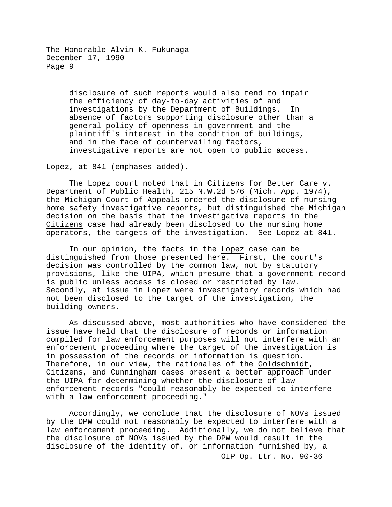> disclosure of such reports would also tend to impair the efficiency of day-to-day activities of and investigations by the Department of Buildings. In absence of factors supporting disclosure other than a general policy of openness in government and the plaintiff's interest in the condition of buildings, and in the face of countervailing factors, investigative reports are not open to public access.

Lopez, at 841 (emphases added).

The Lopez court noted that in Citizens for Better Care v. Department of Public Health, 215 N.W.2d 576 (Mich. App. 1974), the Michigan Court of Appeals ordered the disclosure of nursing home safety investigative reports, but distinguished the Michigan decision on the basis that the investigative reports in the Citizens case had already been disclosed to the nursing home operators, the targets of the investigation. See Lopez at 841.

In our opinion, the facts in the Lopez case can be distinguished from those presented here. First, the court's decision was controlled by the common law, not by statutory provisions, like the UIPA, which presume that a government record is public unless access is closed or restricted by law. Secondly, at issue in Lopez were investigatory records which had not been disclosed to the target of the investigation, the building owners.

As discussed above, most authorities who have considered the issue have held that the disclosure of records or information compiled for law enforcement purposes will not interfere with an enforcement proceeding where the target of the investigation is in possession of the records or information is question. Therefore, in our view, the rationales of the Goldschmidt, Citizens, and Cunningham cases present a better approach under the UIPA for determining whether the disclosure of law enforcement records "could reasonably be expected to interfere with a law enforcement proceeding."

OIP Op. Ltr. No. 90-36 Accordingly, we conclude that the disclosure of NOVs issued by the DPW could not reasonably be expected to interfere with a law enforcement proceeding. Additionally, we do not believe that the disclosure of NOVs issued by the DPW would result in the disclosure of the identity of, or information furnished by, a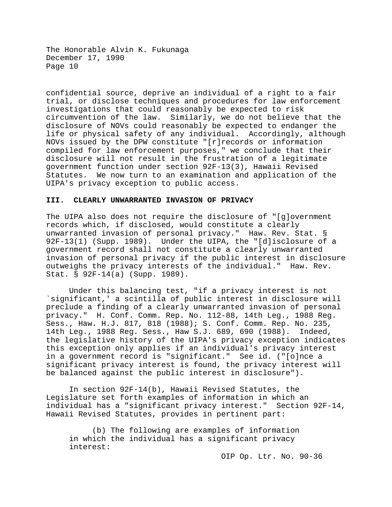confidential source, deprive an individual of a right to a fair trial, or disclose techniques and procedures for law enforcement investigations that could reasonably be expected to risk circumvention of the law. Similarly, we do not believe that the disclosure of NOVs could reasonably be expected to endanger the life or physical safety of any individual. Accordingly, although NOVs issued by the DPW constitute "[r]records or information compiled for law enforcement purposes," we conclude that their disclosure will not result in the frustration of a legitimate government function under section 92F-13(3), Hawaii Revised Statutes. We now turn to an examination and application of the UIPA's privacy exception to public access.

# **III. CLEARLY UNWARRANTED INVASION OF PRIVACY**

The UIPA also does not require the disclosure of "[g]overnment records which, if disclosed, would constitute a clearly unwarranted invasion of personal privacy." Haw. Rev. Stat. § 92F-13(1) (Supp. 1989). Under the UIPA, the "[d]isclosure of a government record shall not constitute a clearly unwarranted invasion of personal privacy if the public interest in disclosure outweighs the privacy interests of the individual." Haw. Rev. Stat. § 92F-14(a) (Supp. 1989).

Under this balancing test, "if a privacy interest is not `significant,' a scintilla of public interest in disclosure will preclude a finding of a clearly unwarranted invasion of personal privacy." H. Conf. Comm. Rep. No. 112-88, 14th Leg., 1988 Reg. Sess., Haw. H.J. 817, 818 (1988); S. Conf. Comm. Rep. No. 235,<br>14th Leg., 1988 Reg. Sess., Haw S.J. 689, 690 (1988). Indeed, 14th Leg., 1988 Reg. Sess., Haw S.J. 689, 690 (1988). the legislative history of the UIPA's privacy exception indicates this exception only applies if an individual's privacy interest in a government record is "significant." See id. ("[o]nce a significant privacy interest is found, the privacy interest will be balanced against the public interest in disclosure").

In section 92F-14(b), Hawaii Revised Statutes, the Legislature set forth examples of information in which an individual has a "significant privacy interest." Section 92F-14, Hawaii Revised Statutes, provides in pertinent part:

(b) The following are examples of information in which the individual has a significant privacy interest: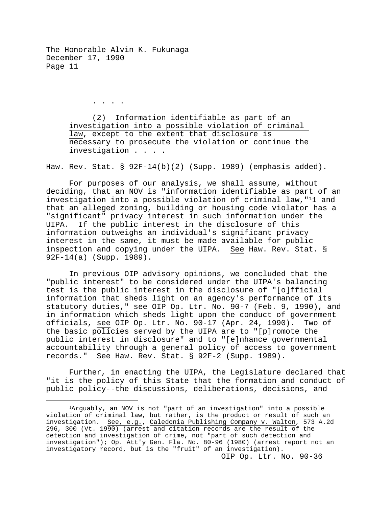. . . .

(2) Information identifiable as part of an investigation into a possible violation of criminal law, except to the extent that disclosure is necessary to prosecute the violation or continue the investigation . . . .

Haw. Rev. Stat. § 92F-14(b)(2) (Supp. 1989) (emphasis added).

For purposes of our analysis, we shall assume, without deciding, that an NOV is "information identifiable as part of an investigation into a possible violation of criminal law,"[11](#page-10-0) and that an alleged zoning, building or housing code violator has a "significant" privacy interest in such information under the UIPA. If the public interest in the disclosure of this information outweighs an individual's significant privacy interest in the same, it must be made available for public inspection and copying under the UIPA. See Haw. Rev. Stat. § 92F-14(a) (Supp. 1989).

In previous OIP advisory opinions, we concluded that the "public interest" to be considered under the UIPA's balancing test is the public interest in the disclosure of "[o]fficial information that sheds light on an agency's performance of its statutory duties," see OIP Op. Ltr. No. 90-7 (Feb. 9, 1990), and in information which sheds light upon the conduct of government officials, see OIP Op. Ltr. No. 90-17 (Apr. 24, 1990). Two of the basic policies served by the UIPA are to "[p]romote the public interest in disclosure" and to "[e]nhance governmental accountability through a general policy of access to government records." See Haw. Rev. Stat. § 92F-2 (Supp. 1989).

Further, in enacting the UIPA, the Legislature declared that "it is the policy of this State that the formation and conduct of public policy--the discussions, deliberations, decisions, and

<span id="page-10-0"></span> <sup>1</sup>Arguably, an NOV is not "part of an investigation" into a possible violation of criminal law, but rather, is the product or result of such an investigation. See, e.g., Caledonia Publishing Company v. Walton, 573 A.2d 296, 300 (Vt. 1990) (arrest and citation records are the result of the detection and investigation of crime, not "part of such detection and investigation"); Op. Att'y Gen. Fla. No. 80-96 (1980) (arrest report not an investigatory record, but is the "fruit" of an investigation).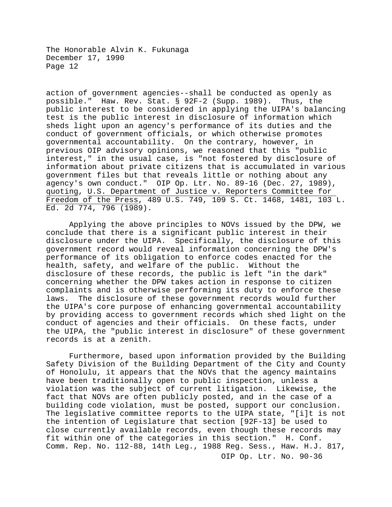action of government agencies--shall be conducted as openly as possible." Haw. Rev. Stat. § 92F-2 (Supp. 1989). Thus, the public interest to be considered in applying the UIPA's balancing test is the public interest in disclosure of information which sheds light upon an agency's performance of its duties and the conduct of government officials, or which otherwise promotes governmental accountability. On the contrary, however, in previous OIP advisory opinions, we reasoned that this "public interest," in the usual case, is "not fostered by disclosure of information about private citizens that is accumulated in various government files but that reveals little or nothing about any agency's own conduct." OIP Op. Ltr. No. 89-16 (Dec. 27, 1989), quoting, U.S. Department of Justice v. Reporters Committee for Freedom of the Press, 489 U.S. 749, 109 S. Ct. 1468, 1481, 103 L. Ed. 2d 774, 796  $(1989)$ .

Applying the above principles to NOVs issued by the DPW, we conclude that there is a significant public interest in their disclosure under the UIPA. Specifically, the disclosure of this government record would reveal information concerning the DPW's performance of its obligation to enforce codes enacted for the health, safety, and welfare of the public. Without the disclosure of these records, the public is left "in the dark" concerning whether the DPW takes action in response to citizen complaints and is otherwise performing its duty to enforce these<br>laws. The disclosure of these government records would further The disclosure of these government records would further the UIPA's core purpose of enhancing governmental accountability by providing access to government records which shed light on the conduct of agencies and their officials. On these facts, under the UIPA, the "public interest in disclosure" of these government records is at a zenith.

OIP Op. Ltr. No. 90-36 Furthermore, based upon information provided by the Building Safety Division of the Building Department of the City and County of Honolulu, it appears that the NOVs that the agency maintains have been traditionally open to public inspection, unless a violation was the subject of current litigation. Likewise, the fact that NOVs are often publicly posted, and in the case of a building code violation, must be posted, support our conclusion. The legislative committee reports to the UIPA state, "[i]t is not the intention of Legislature that section [92F-13] be used to close currently available records, even though these records may fit within one of the categories in this section." H. Conf. Comm. Rep. No. 112-88, 14th Leg., 1988 Reg. Sess., Haw. H.J. 817,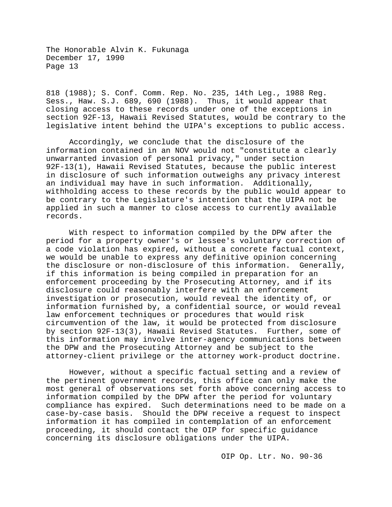818 (1988); S. Conf. Comm. Rep. No. 235, 14th Leg., 1988 Reg. Sess., Haw. S.J. 689, 690 (1988). Thus, it would appear that closing access to these records under one of the exceptions in section 92F-13, Hawaii Revised Statutes, would be contrary to the legislative intent behind the UIPA's exceptions to public access.

Accordingly, we conclude that the disclosure of the information contained in an NOV would not "constitute a clearly unwarranted invasion of personal privacy," under section 92F-13(1), Hawaii Revised Statutes, because the public interest in disclosure of such information outweighs any privacy interest an individual may have in such information. Additionally, withholding access to these records by the public would appear to be contrary to the Legislature's intention that the UIPA not be applied in such a manner to close access to currently available records.

With respect to information compiled by the DPW after the period for a property owner's or lessee's voluntary correction of a code violation has expired, without a concrete factual context, we would be unable to express any definitive opinion concerning the disclosure or non-disclosure of this information. Generally, if this information is being compiled in preparation for an enforcement proceeding by the Prosecuting Attorney, and if its disclosure could reasonably interfere with an enforcement investigation or prosecution, would reveal the identity of, or information furnished by, a confidential source, or would reveal law enforcement techniques or procedures that would risk circumvention of the law, it would be protected from disclosure by section 92F-13(3), Hawaii Revised Statutes. Further, some of this information may involve inter-agency communications between the DPW and the Prosecuting Attorney and be subject to the attorney-client privilege or the attorney work-product doctrine.

However, without a specific factual setting and a review of the pertinent government records, this office can only make the most general of observations set forth above concerning access to information compiled by the DPW after the period for voluntary<br>compliance has expired. Such determinations need to be made on Such determinations need to be made on a case-by-case basis. Should the DPW receive a request to inspect information it has compiled in contemplation of an enforcement proceeding, it should contact the OIP for specific guidance concerning its disclosure obligations under the UIPA.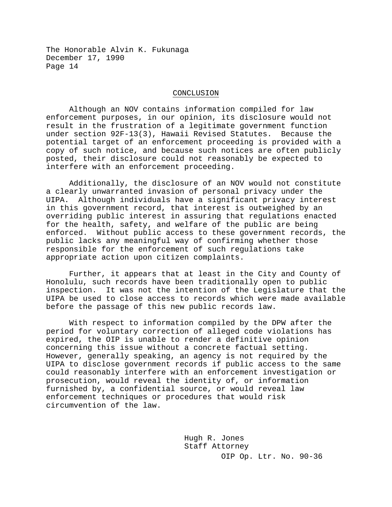#### CONCLUSION

Although an NOV contains information compiled for law enforcement purposes, in our opinion, its disclosure would not result in the frustration of a legitimate government function under section 92F-13(3), Hawaii Revised Statutes. Because the potential target of an enforcement proceeding is provided with a copy of such notice, and because such notices are often publicly posted, their disclosure could not reasonably be expected to interfere with an enforcement proceeding.

Additionally, the disclosure of an NOV would not constitute a clearly unwarranted invasion of personal privacy under the UIPA. Although individuals have a significant privacy interest in this government record, that interest is outweighed by an overriding public interest in assuring that regulations enacted for the health, safety, and welfare of the public are being enforced. Without public access to these government records, the public lacks any meaningful way of confirming whether those responsible for the enforcement of such regulations take appropriate action upon citizen complaints.

Further, it appears that at least in the City and County of Honolulu, such records have been traditionally open to public inspection. It was not the intention of the Legislature that the UIPA be used to close access to records which were made available before the passage of this new public records law.

With respect to information compiled by the DPW after the period for voluntary correction of alleged code violations has expired, the OIP is unable to render a definitive opinion concerning this issue without a concrete factual setting. However, generally speaking, an agency is not required by the UIPA to disclose government records if public access to the same could reasonably interfere with an enforcement investigation or prosecution, would reveal the identity of, or information furnished by, a confidential source, or would reveal law enforcement techniques or procedures that would risk circumvention of the law.

> OIP Op. Ltr. No. 90-36 Hugh R. Jones Staff Attorney